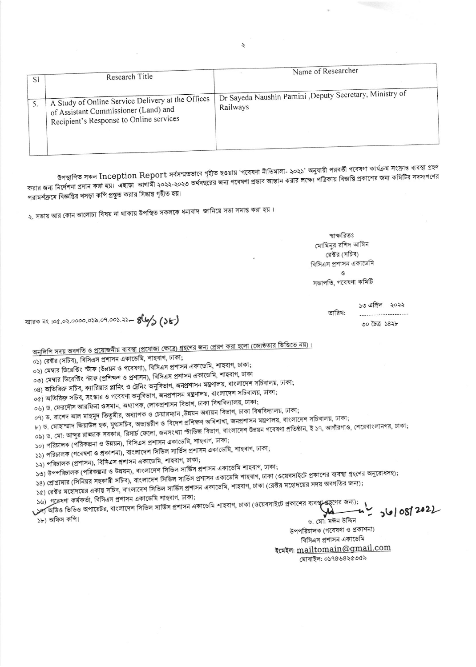| <sub>S</sub> | Research Title                                                                                                                       | Name of Researcher                                                    |
|--------------|--------------------------------------------------------------------------------------------------------------------------------------|-----------------------------------------------------------------------|
|              | A Study of Online Service Delivery at the Offices<br>of Assistant Commissioner (Land) and<br>Recipient's Response to Online services | Dr Sayeda Naushin Parnini , Deputy Secretary, Ministry of<br>Railways |

উপস্থাপিত সকল Inception Report সৰ্বসম্মতভাবে গৃহীত হওয়ায় 'গবেষণা নীতিমালা- ২০২১' অনুযায়ী পরবর্তী গবেষণা কার্যক্রম সংক্রান্ত ব্যবস্থা গ্রহণ করার জন্য নির্দেশনা প্রদান করা হয়। এছাড়া আগামী ২০২২-২০২৩ অর্থবছরের জন্য গবেষণা প্রস্তাব আহ্বান করার লক্ষ্যে বিজ্ঞপ্তি প্রকাশের জন্য কমিটির সদস্যগণের পরামর্শক্রমে বিজ্ঞপ্তির খসড়া কপি প্রস্তুত করার সিদ্ধান্ত গৃহীত হয়।

২. সভায় আর কোন আলোচ্য বিষয় না থাকায় উপস্থিত সকলকে ধন্যবাদ জানিয়ে সভা সমাপ্ত করা হয়।

স্বাক্ষরিতঃ মোমিনুর রশিদ আমিন রেক্টর (সচিব) বিসিএস প্রশাসন একাডেমি ও

সভাপতি, গবেষণা কমিটি

তারিখ:

১৩ এপ্রিল ২০২২ .....................

 $00000000000$ 

স্মারক নং :০৫.০২.০০০০.০১৯.০৭.০০১.২১**- ৪৬/১ (১৮)** 

অনুলিপি সদয় অবগতি ও প্রয়োজনীয় ব্যবস্থা (প্রযোজ্য ক্ষেত্রে) গ্রহণের জন্য প্রেরণ করা হলো (জ্যেষ্ঠতার ভিত্তিতে নয়) :

০১) রেক্টর (সচিব), বিসিএস প্রশাসন একাডেমি, শাহবাগ, ঢাকা;

০২) মেম্বার ডিরেক্টিং স্টাফ (উন্নয়ন ও গবেষণা), বিসিএস প্রশাসন একাডেমি, শাহবাগ, ঢাকা;

০৩) মেম্বার ডিরেক্টিং স্টাফ (প্রশিক্ষণ ও প্রশাসন), বিসিএস প্রশাসন একাডেমি, শাহবাগ, ঢাকা

০৪) অতিরিক্ত সচিব, ক্যারিয়ার প্লানিং ও ট্রেনিং অনুবিভাগ, জনপ্রশাসন মন্ত্রণালয়, বাংলাদেশ সচিবালয়, ঢাকা;

০৫) অতিরিক্ত সচিব, সংস্কার ও গবেষণা অনুবিভাগ, জনপ্রশাসন মন্ত্রণালয়, বাংলাদেশ সচিবালয়, ঢাকা;

০৬) ড. ফেরদৌস আরফিনা ওসমান, অধ্যাপক, লোকপ্রশাসন বিভাগ, ঢাকা বিশ্ববিদ্যালয়, ঢাকা;

০৭) ড. রাশেদ আল মাহমুদ তিতুমীর, অধ্যাপক ও চেয়ারম্যান ,উন্নয়ন অধ্যয়ন বিভাগ, ঢাকা বিশ্ববিদ্যালয়, ঢাকা;

৮) ড. মোহাম্মাদ জিয়াউল হক, যুগ্মসচিব, অভ্যন্তরীণ ও বিদেশ প্রশিক্ষণ অধিশাখা, জনপ্রশাসন মন্ত্রণালয়, বাংলাদেশ সচিবালয়, ঢাকা; ০৯) ড. মো: আব্দুর রাজ্জাক সরকার, রিসার্চ ফেলো, জনসংখ্যা স্টাডিজ বিভাগ, বাংলাদেশ উন্নয়ন গবেষণা প্রতিষ্ঠান, ই ১৭, আগাঁরগাও, শেরেবাংলানগর, ঢাকা;

১০) পরিচালক (পরিকল্পনা ও উন্নয়ন), বিসিএস প্রশাসন একাডেমি, শাহবাগ, ঢাকা;

১১) পরিচালক (গবেষণা ও প্রকাশনা), বাংলাদেশ সিভিল সার্ভিস প্রশাসন একাডেমি, শাহবাগ, ঢাকা;

১২) পরিচালক (প্রশাসন), বিসিএস প্রশাসন একাডেমি, শাহবাগ, ঢাকা;

১৩) উপপরিচালক (পরিকল্পনা ও উন্নয়ন), বাংলাদেশ সিভিল সার্ভিস প্রশাসন একাডেমি শাহবাগ, ঢাকা;

১৪) প্রোগ্রামার (সিনিয়র সহকারী সচিব), বাংলাদেশ সিভিল সার্ভিস প্রশাসন একাডেমি শাহবাগ, ঢাকা (ওয়েবসাইটে প্রকাশের ব্যবস্থা গ্রহণের অনুরোধসহ);

১৫) রেক্টর মহোদয়ের একান্ত সচিব, বাংলাদেশ সিভিল সার্ভিস প্রশাসন একাডেমি, শাহবাগ, ঢাকা (রেক্টর মহোদয়ের সদয় অবগতির জন্য);

১৬) গৱেষণা কৰ্মকৰ্তা, বিসিএস প্ৰশাসন একাডেমি শাহবাগ, ঢাকা;

১৬) গবেষণা কর্মকর্তা, বিসিএস প্রশাসন একাডোম শাহবাগ, ঢাক্যা, আলার ডাকা (ওয়েবসাইটে প্রকাশের ব্যবস্থা গ্রহণের জন্য);<br>১২) অডিও ভিডিও অপারেটর, বাংলাদেশ সিডিল সার্ভিস প্রশাসন একাডেমি শাহবাগ, ঢাকা (ওয়েবসাইটে প্রকাশের ব্যবস্থা

১৮) অফিস কপি।

ড. মো: মঈন উদ্দিন উপপরিচালক (গবেষণা ও প্রকাশনা) বিসিএস প্রশাসন একাডেমি ইমেইল: <u>mailtomain@gmail.com</u> মোবাইল: ০১৭৪৬৪২৫৩৫৯